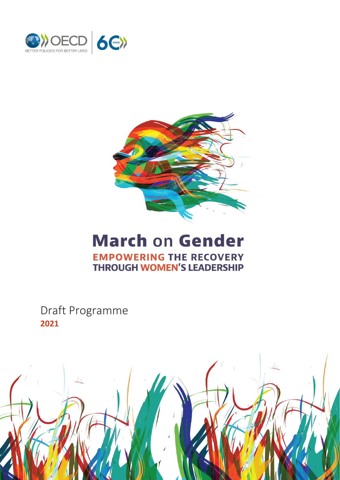



# **March on Gender EMPOWERING THE RECOVERY THROUGH WOMEN'S LEADERSHIP**

Draft Programme **2021**

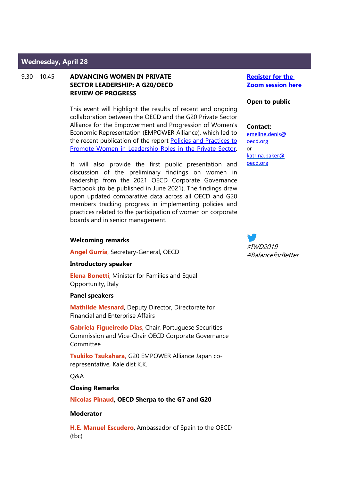# **Wednesday, April 28**

9.30 – 10.45 **ADVANCING WOMEN IN PRIVATE SECTOR LEADERSHIP: A G20/OECD REVIEW OF PROGRESS**

> This event will highlight the results of recent and ongoing collaboration between the OECD and the G20 Private Sector Alliance for the Empowerment and Progression of Women's Economic Representation (EMPOWER Alliance), which led to the recent publication of the report [Policies and Practices to](http://www.oecd.org/corporate/OECD-G20-EMPOWER-Women-Leadership.pdf)  [Promote Women in Leadership Roles in the Private Sector.](http://www.oecd.org/corporate/OECD-G20-EMPOWER-Women-Leadership.pdf)

> It will also provide the first public presentation and discussion of the preliminary findings on women in leadership from the 2021 OECD Corporate Governance Factbook (to be published in June 2021). The findings draw upon updated comparative data across all OECD and G20 members tracking progress in implementing policies and practices related to the participation of women on corporate boards and in senior management.

## **Welcoming remarks**

**Angel Gurría**, Secretary-General, OECD

#### **Introductory speaker**

**Elena Bonetti**, Minister for Families and Equal Opportunity, Italy

## **Panel speakers**

**Mathilde Mesnard**, Deputy Director, Directorate for Financial and Enterprise Affairs

**Gabriela Figueiredo Dias**, Chair, Portuguese Securities Commission and Vice-Chair OECD Corporate Governance Committee

**Tsukiko Tsukahara,** G20 EMPOWER Alliance Japan corepresentative, Kaleidist K.K.

Q&A

#### **Closing Remarks**

**Nicolas Pinaud, OECD Sherpa to the G7 and G20**

### **Moderator**

**H.E. Manuel Escudero**, Ambassador of Spain to the OECD (tbc)

**Register for the [Zoom session here](https://meetoecd1.zoom.us/webinar/register/WN_03cIwltJTBahG-X_e89rgA)**

#### **Open to public**

# **Contact:**

[emeline.denis@](mailto:emeline.denis@oecd.org) [oecd.org](mailto:emeline.denis@oecd.org) or [katrina.baker@](mailto:katrina.baker@oecD.org) [oecd.org](mailto:katrina.baker@oecD.org)